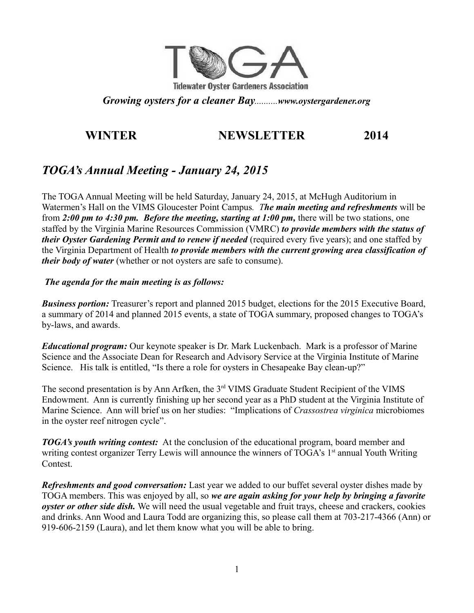

*Growing oysters for a cleaner Bay..........www.oystergardener.org*

# **WINTER NEWSLETTER 2014**

# *TOGA's Annual Meeting - January 24, 2015*

The TOGA Annual Meeting will be held Saturday, January 24, 2015, at McHugh Auditorium in Watermen's Hall on the VIMS Gloucester Point Campus*. The main meeting and refreshments* will be from *2:00 pm to 4:30 pm. Before the meeting, starting at 1:00 pm,* there will be two stations, one staffed by the Virginia Marine Resources Commission (VMRC) *to provide members with the status of their Oyster Gardening Permit and to renew if needed* (required every five years); and one staffed by the Virginia Department of Health *to provide members with the current growing area classification of their body of water* (whether or not oysters are safe to consume).

#### *The agenda for the main meeting is as follows:*

*Business portion:* Treasurer's report and planned 2015 budget, elections for the 2015 Executive Board, a summary of 2014 and planned 2015 events, a state of TOGA summary, proposed changes to TOGA's by-laws, and awards.

*Educational program:* Our keynote speaker is Dr. Mark Luckenbach. Mark is a professor of Marine Science and the Associate Dean for Research and Advisory Service at the Virginia Institute of Marine Science. His talk is entitled, "Is there a role for oysters in Chesapeake Bay clean-up?"

The second presentation is by Ann Arfken, the 3<sup>rd</sup> VIMS Graduate Student Recipient of the VIMS Endowment. Ann is currently finishing up her second year as a PhD student at the Virginia Institute of Marine Science. Ann will brief us on her studies: "Implications of *Crassostrea virginica* microbiomes in the oyster reef nitrogen cycle".

*TOGA's youth writing contest:* At the conclusion of the educational program, board member and writing contest organizer Terry Lewis will announce the winners of TOGA's 1<sup>st</sup> annual Youth Writing Contest.

*Refreshments and good conversation:* Last year we added to our buffet several oyster dishes made by TOGA members. This was enjoyed by all, so *we are again asking for your help by bringing a favorite oyster or other side dish.* We will need the usual vegetable and fruit trays, cheese and crackers, cookies and drinks. Ann Wood and Laura Todd are organizing this, so please call them at 703-217-4366 (Ann) or 919-606-2159 (Laura), and let them know what you will be able to bring.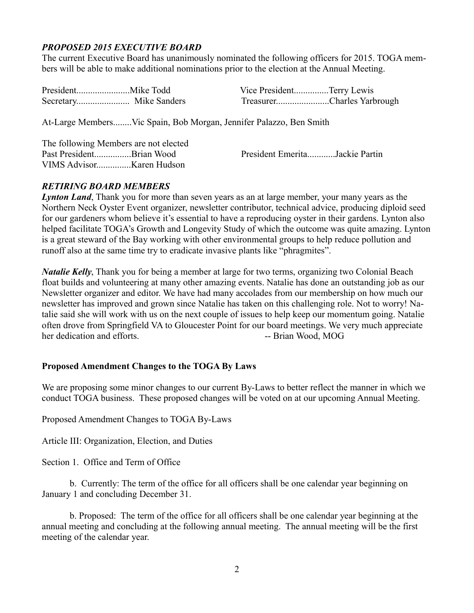# *PROPOSED 2015 EXECUTIVE BOARD*

The current Executive Board has unanimously nominated the following officers for 2015. TOGA members will be able to make additional nominations prior to the election at the Annual Meeting.

|  | Vice PresidentTerry Lewis  |  |
|--|----------------------------|--|
|  | TreasurerCharles Yarbrough |  |
|  |                            |  |

At-Large Members........Vic Spain, Bob Morgan, Jennifer Palazzo, Ben Smith

|                          | The following Members are not elected |                                |  |
|--------------------------|---------------------------------------|--------------------------------|--|
| Past PresidentBrian Wood |                                       | President EmeritaJackie Partin |  |
|                          |                                       |                                |  |

#### *RETIRING BOARD MEMBERS*

*Lynton Land*, Thank you for more than seven years as an at large member, your many years as the Northern Neck Oyster Event organizer, newsletter contributor, technical advice, producing diploid seed for our gardeners whom believe it's essential to have a reproducing oyster in their gardens. Lynton also helped facilitate TOGA's Growth and Longevity Study of which the outcome was quite amazing. Lynton is a great steward of the Bay working with other environmental groups to help reduce pollution and runoff also at the same time try to eradicate invasive plants like "phragmites".

*Natalie Kelly*, Thank you for being a member at large for two terms, organizing two Colonial Beach float builds and volunteering at many other amazing events. Natalie has done an outstanding job as our Newsletter organizer and editor. We have had many accolades from our membership on how much our newsletter has improved and grown since Natalie has taken on this challenging role. Not to worry! Natalie said she will work with us on the next couple of issues to help keep our momentum going. Natalie often drove from Springfield VA to Gloucester Point for our board meetings. We very much appreciate her dedication and efforts. The state of the Brian Wood, MOG

#### **Proposed Amendment Changes to the TOGA By Laws**

We are proposing some minor changes to our current By-Laws to better reflect the manner in which we conduct TOGA business. These proposed changes will be voted on at our upcoming Annual Meeting.

Proposed Amendment Changes to TOGA By-Laws

Article III: Organization, Election, and Duties

Section 1. Office and Term of Office

b. Currently: The term of the office for all officers shall be one calendar year beginning on January 1 and concluding December 31.

b. Proposed: The term of the office for all officers shall be one calendar year beginning at the annual meeting and concluding at the following annual meeting. The annual meeting will be the first meeting of the calendar year.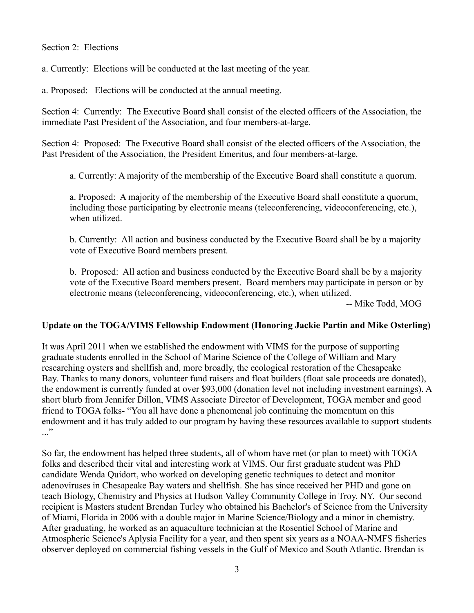#### Section 2: Elections

a. Currently: Elections will be conducted at the last meeting of the year.

a. Proposed: Elections will be conducted at the annual meeting.

Section 4: Currently: The Executive Board shall consist of the elected officers of the Association, the immediate Past President of the Association, and four members-at-large.

Section 4: Proposed: The Executive Board shall consist of the elected officers of the Association, the Past President of the Association, the President Emeritus, and four members-at-large.

a. Currently: A majority of the membership of the Executive Board shall constitute a quorum.

a. Proposed: A majority of the membership of the Executive Board shall constitute a quorum, including those participating by electronic means (teleconferencing, videoconferencing, etc.), when utilized.

b. Currently: All action and business conducted by the Executive Board shall be by a majority vote of Executive Board members present.

b. Proposed: All action and business conducted by the Executive Board shall be by a majority vote of the Executive Board members present. Board members may participate in person or by electronic means (teleconferencing, videoconferencing, etc.), when utilized.

-- Mike Todd, MOG

#### **Update on the TOGA/VIMS Fellowship Endowment (Honoring Jackie Partin and Mike Osterling)**

It was April 2011 when we established the endowment with VIMS for the purpose of supporting graduate students enrolled in the School of Marine Science of the College of William and Mary researching oysters and shellfish and, more broadly, the ecological restoration of the Chesapeake Bay. Thanks to many donors, volunteer fund raisers and float builders (float sale proceeds are donated), the endowment is currently funded at over \$93,000 (donation level not including investment earnings). A short blurb from Jennifer Dillon, VIMS Associate Director of Development, TOGA member and good friend to TOGA folks- "You all have done a phenomenal job continuing the momentum on this endowment and it has truly added to our program by having these resources available to support students  $\cdot$ ..."

So far, the endowment has helped three students, all of whom have met (or plan to meet) with TOGA folks and described their vital and interesting work at VIMS. Our first graduate student was PhD candidate Wenda Quidort, who worked on developing genetic techniques to detect and monitor adenoviruses in Chesapeake Bay waters and shellfish. She has since received her PHD and gone on teach Biology, Chemistry and Physics at Hudson Valley Community College in Troy, NY. Our second recipient is Masters student Brendan Turley who obtained his Bachelor's of Science from the University of Miami, Florida in 2006 with a double major in Marine Science/Biology and a minor in chemistry. After graduating, he worked as an aquaculture technician at the Rosentiel School of Marine and Atmospheric Science's Aplysia Facility for a year, and then spent six years as a NOAA-NMFS fisheries observer deployed on commercial fishing vessels in the Gulf of Mexico and South Atlantic. Brendan is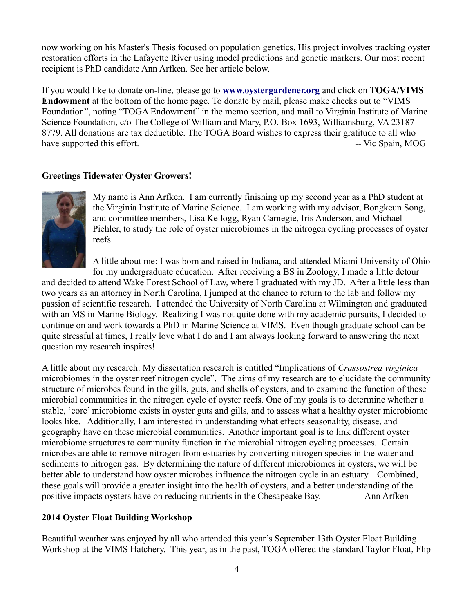now working on his Master's Thesis focused on population genetics. His project involves tracking oyster restoration efforts in the Lafayette River using model predictions and genetic markers. Our most recent recipient is PhD candidate Ann Arfken. See her article below.

If you would like to donate on-line, please go to **[www.oystergardener.org](http://www.oystergardener.org/)** and click on **TOGA/VIMS Endowment** at the bottom of the home page. To donate by mail, please make checks out to "VIMS Foundation", noting "TOGA Endowment" in the memo section, and mail to Virginia Institute of Marine Science Foundation, c/o The College of William and Mary, P.O. Box 1693, Williamsburg, VA 23187- 8779. All donations are tax deductible. The TOGA Board wishes to express their gratitude to all who have supported this effort. The state of the state of the state of the state of the state of the state of the state of the state of the state of the state of the state of the state of the state of the state of the state of

#### **Greetings Tidewater Oyster Growers!**



My name is Ann Arfken. I am currently finishing up my second year as a PhD student at the Virginia Institute of Marine Science. I am working with my advisor, Bongkeun Song, and committee members, Lisa Kellogg, Ryan Carnegie, Iris Anderson, and Michael Piehler, to study the role of oyster microbiomes in the nitrogen cycling processes of oyster reefs.

A little about me: I was born and raised in Indiana, and attended Miami University of Ohio for my undergraduate education. After receiving a BS in Zoology, I made a little detour

and decided to attend Wake Forest School of Law, where I graduated with my JD. After a little less than two years as an attorney in North Carolina, I jumped at the chance to return to the lab and follow my passion of scientific research. I attended the University of North Carolina at Wilmington and graduated with an MS in Marine Biology. Realizing I was not quite done with my academic pursuits, I decided to continue on and work towards a PhD in Marine Science at VIMS. Even though graduate school can be quite stressful at times, I really love what I do and I am always looking forward to answering the next question my research inspires!

A little about my research: My dissertation research is entitled "Implications of *Crassostrea virginica* microbiomes in the oyster reef nitrogen cycle". The aims of my research are to elucidate the community structure of microbes found in the gills, guts, and shells of oysters, and to examine the function of these microbial communities in the nitrogen cycle of oyster reefs. One of my goals is to determine whether a stable, 'core' microbiome exists in oyster guts and gills, and to assess what a healthy oyster microbiome looks like. Additionally, I am interested in understanding what effects seasonality, disease, and geography have on these microbial communities. Another important goal is to link different oyster microbiome structures to community function in the microbial nitrogen cycling processes. Certain microbes are able to remove nitrogen from estuaries by converting nitrogen species in the water and sediments to nitrogen gas. By determining the nature of different microbiomes in oysters, we will be better able to understand how oyster microbes influence the nitrogen cycle in an estuary. Combined, these goals will provide a greater insight into the health of oysters, and a better understanding of the positive impacts oysters have on reducing nutrients in the Chesapeake Bay. – Ann Arfken

#### **2014 Oyster Float Building Workshop**

Beautiful weather was enjoyed by all who attended this year's September 13th Oyster Float Building Workshop at the VIMS Hatchery. This year, as in the past, TOGA offered the standard Taylor Float, Flip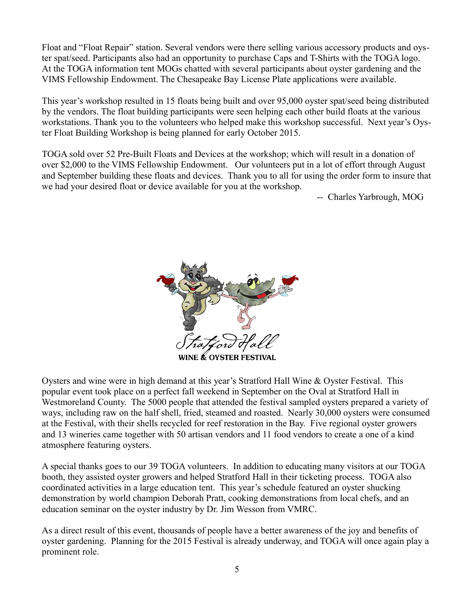Float and "Float Repair" station. Several vendors were there selling various accessory products and oyster spat/seed. Participants also had an opportunity to purchase Caps and T-Shirts with the TOGA logo. At the TOGA information tent MOGs chatted with several participants about oyster gardening and the VIMS Fellowship Endowment. The Chesapeake Bay License Plate applications were available.

This year's workshop resulted in 15 floats being built and over 95,000 oyster spat/seed being distributed by the vendors. The float building participants were seen helping each other build floats at the various workstations. Thank you to the volunteers who helped make this workshop successful. Next year's Oyster Float Building Workshop is being planned for early October 2015.

TOGA sold over 52 Pre-Built Floats and Devices at the workshop; which will result in a donation of over \$2,000 to the VIMS Fellowship Endowment. Our volunteers put in a lot of effort through August and September building these floats and devices. Thank you to all for using the order form to insure that we had your desired float or device available for you at the workshop.

-- Charles Yarbrough, MOG



Oysters and wine were in high demand at this year's Stratford Hall Wine & Oyster Festival. This popular event took place on a perfect fall weekend in September on the Oval at Stratford Hall in Westmoreland County. The 5000 people that attended the festival sampled oysters prepared a variety of ways, including raw on the half shell, fried, steamed and roasted. Nearly 30,000 oysters were consumed at the Festival, with their shells recycled for reef restoration in the Bay. Five regional oyster growers and 13 wineries came together with 50 artisan vendors and 11 food vendors to create a one of a kind atmosphere featuring oysters.

A special thanks goes to our 39 TOGA volunteers. In addition to educating many visitors at our TOGA booth, they assisted oyster growers and helped Stratford Hall in their ticketing process. TOGA also coordinated activities in a large education tent. This year's schedule featured an oyster shucking demonstration by world champion Deborah Pratt, cooking demonstrations from local chefs, and an education seminar on the oyster industry by Dr. Jim Wesson from VMRC.

As a direct result of this event, thousands of people have a better awareness of the joy and benefits of oyster gardening. Planning for the 2015 Festival is already underway, and TOGA will once again play a prominent role.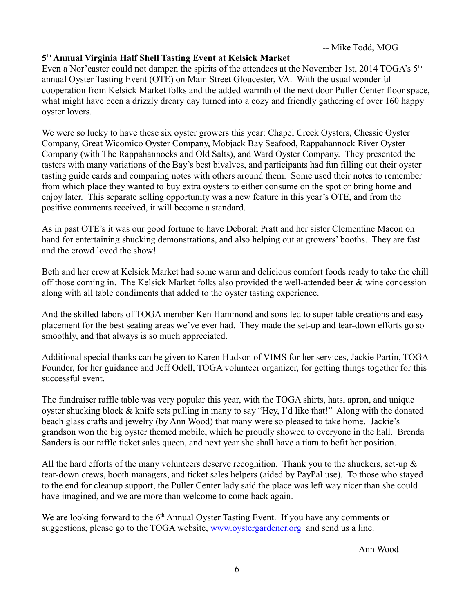### **5 th Annual Virginia Half Shell Tasting Event at Kelsick Market**

Even a Nor'easter could not dampen the spirits of the attendees at the November 1st, 2014 TOGA's  $5<sup>th</sup>$ annual Oyster Tasting Event (OTE) on Main Street Gloucester, VA. With the usual wonderful cooperation from Kelsick Market folks and the added warmth of the next door Puller Center floor space, what might have been a drizzly dreary day turned into a cozy and friendly gathering of over 160 happy oyster lovers.

We were so lucky to have these six oyster growers this year: Chapel Creek Oysters, Chessie Oyster Company, Great Wicomico Oyster Company, Mobjack Bay Seafood, Rappahannock River Oyster Company (with The Rappahannocks and Old Salts), and Ward Oyster Company. They presented the tasters with many variations of the Bay's best bivalves, and participants had fun filling out their oyster tasting guide cards and comparing notes with others around them. Some used their notes to remember from which place they wanted to buy extra oysters to either consume on the spot or bring home and enjoy later. This separate selling opportunity was a new feature in this year's OTE, and from the positive comments received, it will become a standard.

As in past OTE's it was our good fortune to have Deborah Pratt and her sister Clementine Macon on hand for entertaining shucking demonstrations, and also helping out at growers' booths. They are fast and the crowd loved the show!

Beth and her crew at Kelsick Market had some warm and delicious comfort foods ready to take the chill off those coming in. The Kelsick Market folks also provided the well-attended beer & wine concession along with all table condiments that added to the oyster tasting experience.

And the skilled labors of TOGA member Ken Hammond and sons led to super table creations and easy placement for the best seating areas we've ever had. They made the set-up and tear-down efforts go so smoothly, and that always is so much appreciated.

Additional special thanks can be given to Karen Hudson of VIMS for her services, Jackie Partin, TOGA Founder, for her guidance and Jeff Odell, TOGA volunteer organizer, for getting things together for this successful event.

The fundraiser raffle table was very popular this year, with the TOGA shirts, hats, apron, and unique oyster shucking block & knife sets pulling in many to say "Hey, I'd like that!" Along with the donated beach glass crafts and jewelry (by Ann Wood) that many were so pleased to take home. Jackie's grandson won the big oyster themed mobile, which he proudly showed to everyone in the hall. Brenda Sanders is our raffle ticket sales queen, and next year she shall have a tiara to befit her position.

All the hard efforts of the many volunteers deserve recognition. Thank you to the shuckers, set-up  $\&$ tear-down crews, booth managers, and ticket sales helpers (aided by PayPal use). To those who stayed to the end for cleanup support, the Puller Center lady said the place was left way nicer than she could have imagined, and we are more than welcome to come back again.

We are looking forward to the 6<sup>th</sup> Annual Oyster Tasting Event. If you have any comments or suggestions, please go to the TOGA website, [www.oystergardener.org](http://www.oystergardener.org/) and send us a line.

-- Ann Wood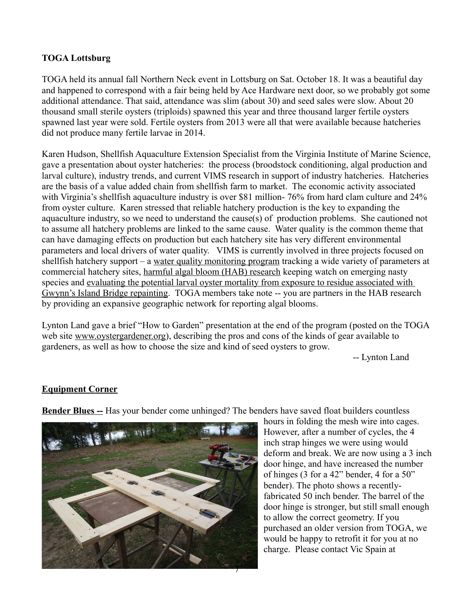#### **TOGA Lottsburg**

TOGA held its annual fall Northern Neck event in Lottsburg on Sat. October 18. It was a beautiful day and happened to correspond with a fair being held by Ace Hardware next door, so we probably got some additional attendance. That said, attendance was slim (about 30) and seed sales were slow. About 20 thousand small sterile oysters (triploids) spawned this year and three thousand larger fertile oysters spawned last year were sold. Fertile oysters from 2013 were all that were available because hatcheries did not produce many fertile larvae in 2014.

Karen Hudson, Shellfish Aquaculture Extension Specialist from the Virginia Institute of Marine Science, gave a presentation about oyster hatcheries: the process (broodstock conditioning, algal production and larval culture), industry trends, and current VIMS research in support of industry hatcheries. Hatcheries are the basis of a value added chain from shellfish farm to market. The economic activity associated with Virginia's shellfish aquaculture industry is over \$81 million- 76% from hard clam culture and 24% from oyster culture. Karen stressed that reliable hatchery production is the key to expanding the aquaculture industry, so we need to understand the cause(s) of production problems. She cautioned not to assume all hatchery problems are linked to the same cause. Water quality is the common theme that can have damaging effects on production but each hatchery site has very different environmental parameters and local drivers of water quality. VIMS is currently involved in three projects focused on shellfish hatchery support – a water quality monitoring program tracking a wide variety of parameters at commercial hatchery sites, harmful algal bloom (HAB) research keeping watch on emerging nasty species and evaluating the potential larval oyster mortality from exposure to residue associated with Gwynn's Island Bridge repainting. TOGA members take note -- you are partners in the HAB research by providing an expansive geographic network for reporting algal blooms.

Lynton Land gave a brief "How to Garden" presentation at the end of the program (posted on the TOGA web site [www.oystergardener.org\)](http://www.oystergardener.org/), describing the pros and cons of the kinds of gear available to gardeners, as well as how to choose the size and kind of seed oysters to grow.

-- Lynton Land

#### **Equipment Corner**

**Bender Blues --** Has your bender come unhinged? The benders have saved float builders countless



hours in folding the mesh wire into cages. However, after a number of cycles, the 4 inch strap hinges we were using would deform and break. We are now using a 3 inch door hinge, and have increased the number of hinges (3 for a 42" bender, 4 for a 50" bender). The photo shows a recentlyfabricated 50 inch bender. The barrel of the door hinge is stronger, but still small enough to allow the correct geometry. If you purchased an older version from TOGA, we would be happy to retrofit it for you at no charge. Please contact Vic Spain at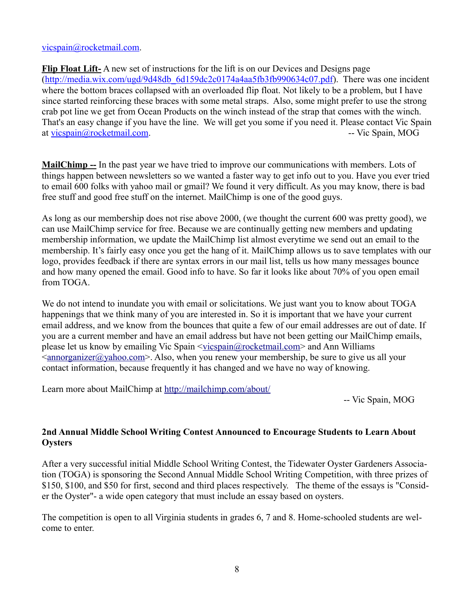#### [vicspain@rocketmail.com.](mailto:vicspain@rocketmail.com)

**Flip Float Lift-** A new set of instructions for the lift is on our Devices and Designs page [\(http://media.wix.com/ugd/9d48db\\_6d159dc2c0174a4aa5fb3fb990634c07.pdf\)](http://media.wix.com/ugd/9d48db_6d159dc2c0174a4aa5fb3fb990634c07.pdf). There was one incident where the bottom braces collapsed with an overloaded flip float. Not likely to be a problem, but I have since started reinforcing these braces with some metal straps. Also, some might prefer to use the strong crab pot line we get from Ocean Products on the winch instead of the strap that comes with the winch. That's an easy change if you have the line. We will get you some if you need it. Please contact Vic Spain at [vicspain@rocketmail.com.](mailto:vicspain@rocketmail.com) -- Vic Spain, MOG

**MailChimp --** In the past year we have tried to improve our communications with members. Lots of things happen between newsletters so we wanted a faster way to get info out to you. Have you ever tried to email 600 folks with yahoo mail or gmail? We found it very difficult. As you may know, there is bad free stuff and good free stuff on the internet. MailChimp is one of the good guys.

As long as our membership does not rise above 2000, (we thought the current 600 was pretty good), we can use MailChimp service for free. Because we are continually getting new members and updating membership information, we update the MailChimp list almost everytime we send out an email to the membership. It's fairly easy once you get the hang of it. MailChimp allows us to save templates with our logo, provides feedback if there are syntax errors in our mail list, tells us how many messages bounce and how many opened the email. Good info to have. So far it looks like about 70% of you open email from TOGA.

We do not intend to inundate you with email or solicitations. We just want you to know about TOGA happenings that we think many of you are interested in. So it is important that we have your current email address, and we know from the bounces that quite a few of our email addresses are out of date. If you are a current member and have an email address but have not been getting our MailChimp emails, please let us know by emailing Vic Spain [<vicspain@rocketmail.com>](mailto:vicspain@rocketmail.com) and Ann Williams  $\langle \text{annorganizer}(\hat{\omega}\rangle \text{ahoo.com}\rangle$ . Also, when you renew your membership, be sure to give us all your contact information, because frequently it has changed and we have no way of knowing.

Learn more about MailChimp at<http://mailchimp.com/about/>

-- Vic Spain, MOG

### **2nd Annual Middle School Writing Contest Announced to Encourage Students to Learn About Oysters**

After a very successful initial Middle School Writing Contest, the Tidewater Oyster Gardeners Association (TOGA) is sponsoring the Second Annual Middle School Writing Competition, with three prizes of \$150, \$100, and \$50 for first, second and third places respectively. The theme of the essays is "Consider the Oyster"- a wide open category that must include an essay based on oysters.

The competition is open to all Virginia students in grades 6, 7 and 8. Home-schooled students are welcome to enter.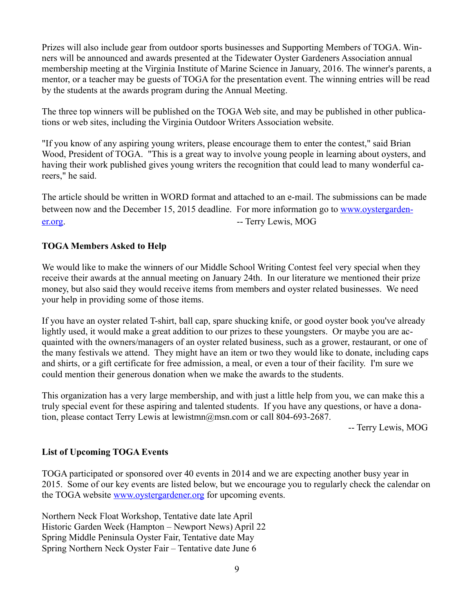Prizes will also include gear from outdoor sports businesses and Supporting Members of TOGA. Winners will be announced and awards presented at the Tidewater Oyster Gardeners Association annual membership meeting at the Virginia Institute of Marine Science in January, 2016. The winner's parents, a mentor, or a teacher may be guests of TOGA for the presentation event. The winning entries will be read by the students at the awards program during the Annual Meeting.

The three top winners will be published on the TOGA Web site, and may be published in other publications or web sites, including the Virginia Outdoor Writers Association website.

"If you know of any aspiring young writers, please encourage them to enter the contest," said Brian Wood, President of TOGA. "This is a great way to involve young people in learning about oysters, and having their work published gives young writers the recognition that could lead to many wonderful careers," he said.

The article should be written in WORD format and attached to an e-mail. The submissions can be made between now and the December 15, 2015 deadline. For more information go to [www.oystergarden](http://www.oystergardener.org/)[er.org.](http://www.oystergardener.org/)  $\blacksquare$ 

### **TOGA Members Asked to Help**

We would like to make the winners of our Middle School Writing Contest feel very special when they receive their awards at the annual meeting on January 24th. In our literature we mentioned their prize money, but also said they would receive items from members and oyster related businesses. We need your help in providing some of those items.

If you have an oyster related T-shirt, ball cap, spare shucking knife, or good oyster book you've already lightly used, it would make a great addition to our prizes to these youngsters. Or maybe you are acquainted with the owners/managers of an oyster related business, such as a grower, restaurant, or one of the many festivals we attend. They might have an item or two they would like to donate, including caps and shirts, or a gift certificate for free admission, a meal, or even a tour of their facility. I'm sure we could mention their generous donation when we make the awards to the students.

This organization has a very large membership, and with just a little help from you, we can make this a truly special event for these aspiring and talented students. If you have any questions, or have a donation, please contact Terry Lewis at lewistmn@msn.com or call 804-693-2687.

-- Terry Lewis, MOG

#### **List of Upcoming TOGA Events**

TOGA participated or sponsored over 40 events in 2014 and we are expecting another busy year in 2015. Some of our key events are listed below, but we encourage you to regularly check the calendar on the TOGA website [www.oystergardener.org](http://www.oystergardener.org/) for upcoming events.

Northern Neck Float Workshop, Tentative date late April Historic Garden Week (Hampton – Newport News) April 22 Spring Middle Peninsula Oyster Fair, Tentative date May Spring Northern Neck Oyster Fair – Tentative date June 6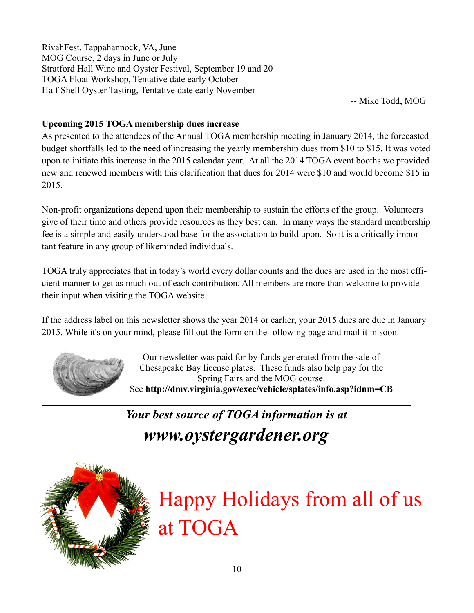RivahFest, Tappahannock, VA, June MOG Course, 2 days in June or July Stratford Hall Wine and Oyster Festival, September 19 and 20 TOGA Float Workshop, Tentative date early October Half Shell Oyster Tasting, Tentative date early November

-- Mike Todd, MOG

# **Upcoming 2015 TOGA membership dues increase**

As presented to the attendees of the Annual TOGA membership meeting in January 2014, the forecasted budget shortfalls led to the need of increasing the yearly membership dues from \$10 to \$15. It was voted upon to initiate this increase in the 2015 calendar year. At all the 2014 TOGA event booths we provided new and renewed members with this clarification that dues for 2014 were \$10 and would become \$15 in 2015.

Non-profit organizations depend upon their membership to sustain the efforts of the group. Volunteers give of their time and others provide resources as they best can. In many ways the standard membership fee is a simple and easily understood base for the association to build upon. So it is a critically important feature in any group of likeminded individuals.

TOGA truly appreciates that in today's world every dollar counts and the dues are used in the most efficient manner to get as much out of each contribution. All members are more than welcome to provide their input when visiting the TOGA website.

If the address label on this newsletter shows the year 2014 or earlier, your 2015 dues are due in January 2015. While it's on your mind, please fill out the form on the following page and mail it in soon.



Our newsletter was paid for by funds generated from the sale of Chesapeake Bay license plates. These funds also help pay for the Spring Fairs and the MOG course. See **http://dmv.virginia.gov/exec/vehicle/splates/info.asp?idnm=CB**

*Your best source of TOGA information is at www.oystergardener.org*



Happy Holidays from all of us at TOGA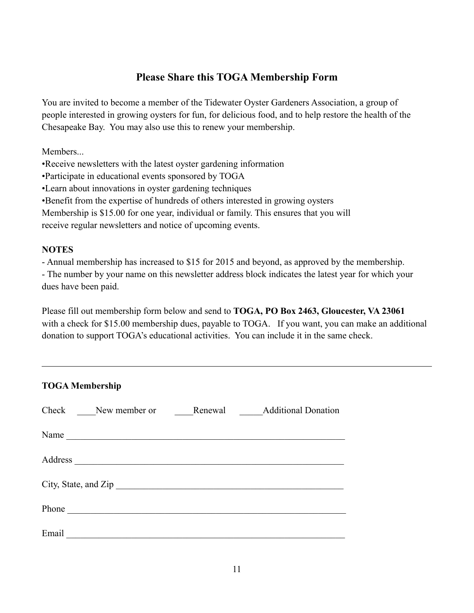# **Please Share this TOGA Membership Form**

You are invited to become a member of the Tidewater Oyster Gardeners Association, a group of people interested in growing oysters for fun, for delicious food, and to help restore the health of the Chesapeake Bay. You may also use this to renew your membership.

Members...

•Receive newsletters with the latest oyster gardening information

•Participate in educational events sponsored by TOGA

•Learn about innovations in oyster gardening techniques

•Benefit from the expertise of hundreds of others interested in growing oysters

Membership is \$15.00 for one year, individual or family. This ensures that you will

receive regular newsletters and notice of upcoming events.

# **NOTES**

- Annual membership has increased to \$15 for 2015 and beyond, as approved by the membership.

- The number by your name on this newsletter address block indicates the latest year for which your dues have been paid.

Please fill out membership form below and send to **TOGA, PO Box 2463, Gloucester, VA 23061** with a check for \$15.00 membership dues, payable to TOGA. If you want, you can make an additional donation to support TOGA's educational activities. You can include it in the same check.

| <b>TOGA Membership</b>                             |  |  |  |  |  |  |
|----------------------------------------------------|--|--|--|--|--|--|
| Check New member or<br>Renewal Additional Donation |  |  |  |  |  |  |
| Name                                               |  |  |  |  |  |  |
|                                                    |  |  |  |  |  |  |
| City, State, and Zip                               |  |  |  |  |  |  |
| Phone                                              |  |  |  |  |  |  |
| Email                                              |  |  |  |  |  |  |